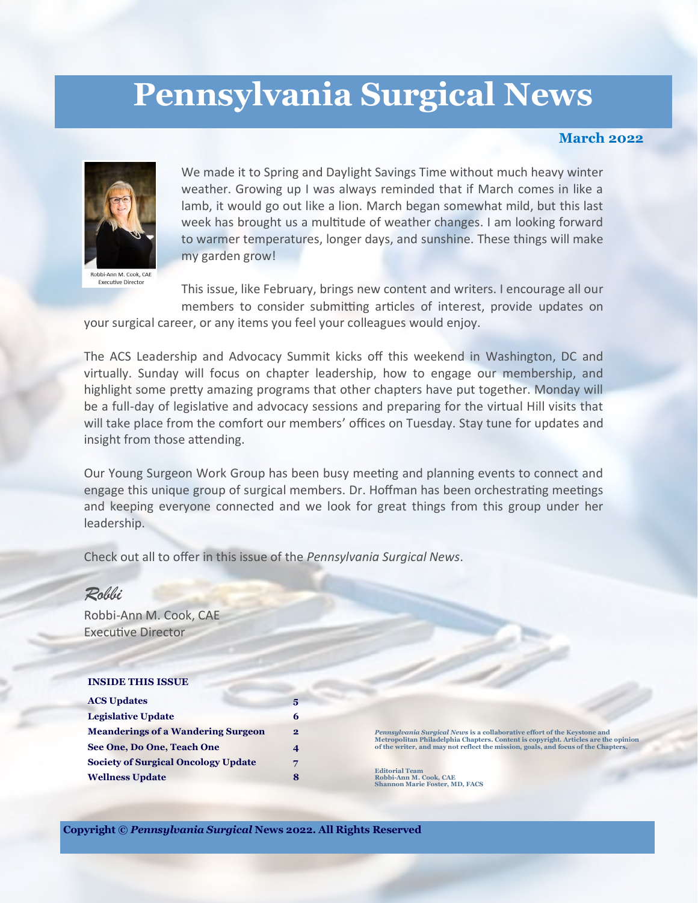# **Pennsylvania Surgical News**

#### **March 2022**

the opinion



Robbi-Ann M. Cook, CAE **Executive Director** 

We made it to Spring and Daylight Savings Time without much heavy winter weather. Growing up I was always reminded that if March comes in like a lamb, it would go out like a lion. March began somewhat mild, but this last week has brought us a multitude of weather changes. I am looking forward to warmer temperatures, longer days, and sunshine. These things will make my garden grow!

This issue, like February, brings new content and writers. I encourage all our members to consider submitting articles of interest, provide updates on

your surgical career, or any items you feel your colleagues would enjoy.

The ACS Leadership and Advocacy Summit kicks off this weekend in Washington, DC and virtually. Sunday will focus on chapter leadership, how to engage our membership, and highlight some pretty amazing programs that other chapters have put together. Monday will be a full-day of legislative and advocacy sessions and preparing for the virtual Hill visits that will take place from the comfort our members' offices on Tuesday. Stay tune for updates and insight from those attending.

Our Young Surgeon Work Group has been busy meeting and planning events to connect and engage this unique group of surgical members. Dr. Hoffman has been orchestrating meetings and keeping everyone connected and we look for great things from this group under her leadership.

Check out all to offer in this issue of the *Pennsylvania Surgical News*.

| Robbi                                      |                |                                                                                                                                                                                                                                                                                                                                              |
|--------------------------------------------|----------------|----------------------------------------------------------------------------------------------------------------------------------------------------------------------------------------------------------------------------------------------------------------------------------------------------------------------------------------------|
| Robbi-Ann M. Cook, CAE                     |                |                                                                                                                                                                                                                                                                                                                                              |
| <b>Executive Director</b>                  |                |                                                                                                                                                                                                                                                                                                                                              |
|                                            |                |                                                                                                                                                                                                                                                                                                                                              |
|                                            |                |                                                                                                                                                                                                                                                                                                                                              |
| <b>INSIDE THIS ISSUE</b>                   |                |                                                                                                                                                                                                                                                                                                                                              |
| <b>ACS Updates</b>                         | 5              |                                                                                                                                                                                                                                                                                                                                              |
| <b>Legislative Update</b>                  | 6              |                                                                                                                                                                                                                                                                                                                                              |
| <b>Meanderings of a Wandering Surgeon</b>  | $\overline{2}$ | Pennsylvania Surgical News is a collaborative effort of the Keystone and<br>Metropolitan Philadelphia Chapters. Content is copyright. Articles are the opin<br>of the writer, and may not reflect the mission, goals, and focus of the Chapters.<br><b>Editorial Team</b><br>Robbi-Ann M. Cook, CAE<br><b>Shannon Marie Foster, MD, FACS</b> |
| See One, Do One, Teach One                 | 4              |                                                                                                                                                                                                                                                                                                                                              |
| <b>Society of Surgical Oncology Update</b> | 7              |                                                                                                                                                                                                                                                                                                                                              |
| <b>Wellness Update</b><br>8                |                |                                                                                                                                                                                                                                                                                                                                              |
|                                            |                |                                                                                                                                                                                                                                                                                                                                              |
|                                            |                |                                                                                                                                                                                                                                                                                                                                              |

**Copyright ©** *Pennsylvania Surgical* **News 2022. All Rights Reserved**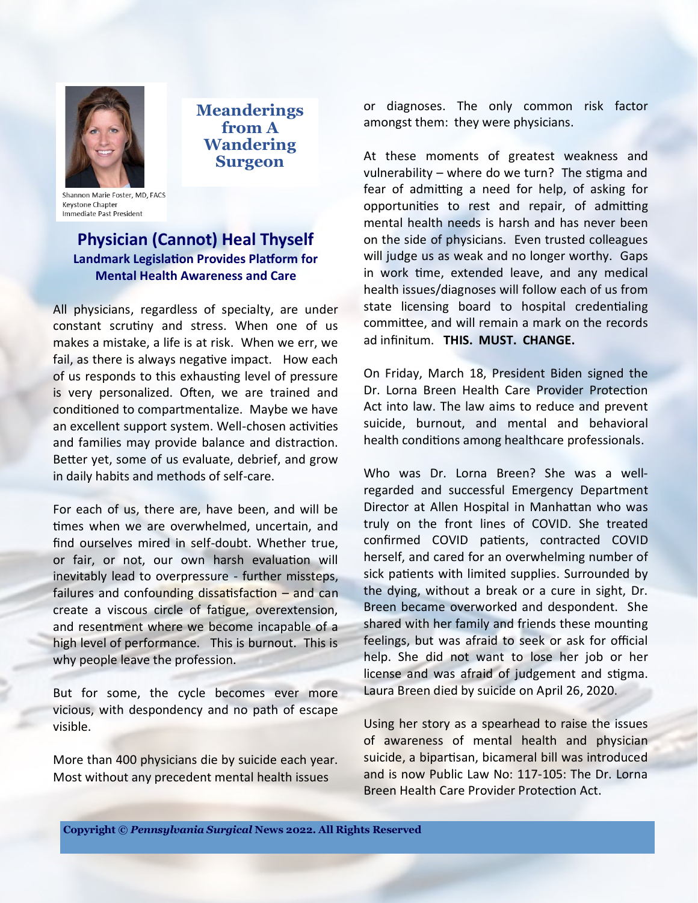

**Meanderings from A Wandering Surgeon**

Shannon Marie Foster, MD, FACS **Keystone Chapter** Immediate Past President

#### **Physician (Cannot) Heal Thyself Landmark Legislation Provides Platform for Mental Health Awareness and Care**

All physicians, regardless of specialty, are under constant scrutiny and stress. When one of us makes a mistake, a life is at risk. When we err, we fail, as there is always negative impact. How each of us responds to this exhausting level of pressure is very personalized. Often, we are trained and conditioned to compartmentalize. Maybe we have an excellent support system. Well-chosen activities and families may provide balance and distraction. Better yet, some of us evaluate, debrief, and grow in daily habits and methods of self-care.

For each of us, there are, have been, and will be times when we are overwhelmed, uncertain, and find ourselves mired in self-doubt. Whether true, or fair, or not, our own harsh evaluation will inevitably lead to overpressure - further missteps, failures and confounding dissatisfaction – and can create a viscous circle of fatigue, overextension, and resentment where we become incapable of a high level of performance. This is burnout. This is why people leave the profession.

But for some, the cycle becomes ever more vicious, with despondency and no path of escape visible.

More than 400 physicians die by suicide each year. Most without any precedent mental health issues

or diagnoses. The only common risk factor amongst them: they were physicians.

At these moments of greatest weakness and vulnerability – where do we turn? The stigma and fear of admitting a need for help, of asking for opportunities to rest and repair, of admitting mental health needs is harsh and has never been on the side of physicians. Even trusted colleagues will judge us as weak and no longer worthy. Gaps in work time, extended leave, and any medical health issues/diagnoses will follow each of us from state licensing board to hospital credentialing committee, and will remain a mark on the records ad infinitum. **THIS. MUST. CHANGE.**

On Friday, March 18, President Biden signed the Dr. Lorna Breen Health Care Provider Protection Act into law. The law aims to reduce and prevent suicide, burnout, and mental and behavioral health conditions among healthcare professionals.

Who was Dr. Lorna Breen? She was a wellregarded and successful Emergency Department Director at Allen Hospital in Manhattan who was truly on the front lines of COVID. She treated confirmed COVID patients, contracted COVID herself, and cared for an overwhelming number of sick patients with limited supplies. Surrounded by the dying, without a break or a cure in sight, Dr. Breen became overworked and despondent. She shared with her family and friends these mounting feelings, but was afraid to seek or ask for official help. She did not want to lose her job or her license and was afraid of judgement and stigma. Laura Breen died by suicide on April 26, 2020.

Using her story as a spearhead to raise the issues of awareness of mental health and physician suicide, a bipartisan, bicameral bill was introduced and is now Public Law No: 117-105: The Dr. Lorna Breen Health Care Provider Protection Act.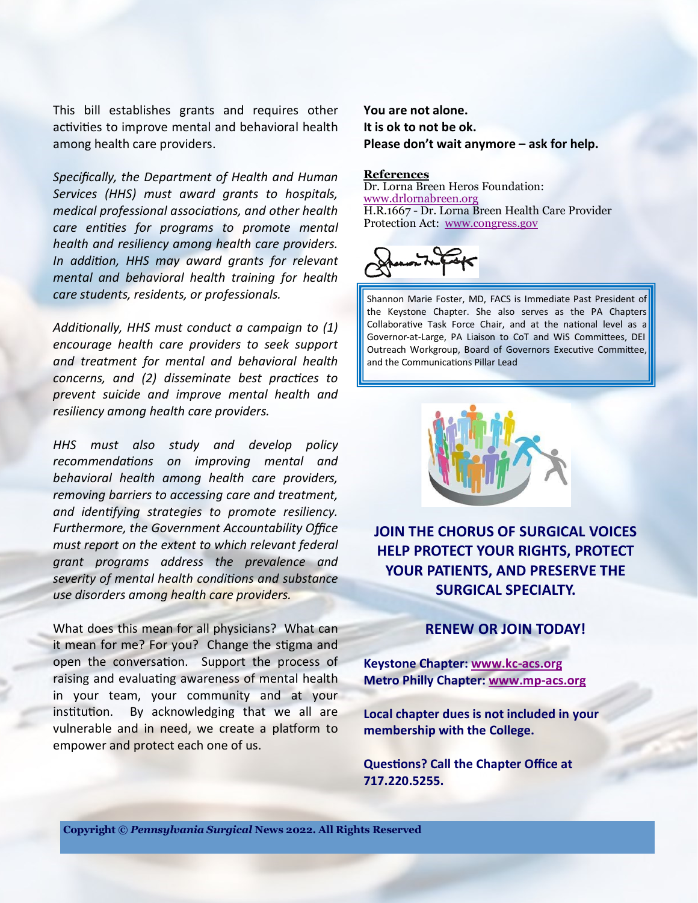This bill establishes grants and requires other activities to improve mental and behavioral health among health care providers.

*Specifically, the Department of Health and Human Services (HHS) must award grants to hospitals, medical professional associations, and other health care entities for programs to promote mental health and resiliency among health care providers. In addition, HHS may award grants for relevant mental and behavioral health training for health care students, residents, or professionals.*

*Additionally, HHS must conduct a campaign to (1) encourage health care providers to seek support and treatment for mental and behavioral health concerns, and (2) disseminate best practices to prevent suicide and improve mental health and resiliency among health care providers.*

*HHS must also study and develop policy recommendations on improving mental and behavioral health among health care providers, removing barriers to accessing care and treatment, and identifying strategies to promote resiliency. Furthermore, the Government Accountability Office must report on the extent to which relevant federal grant programs address the prevalence and severity of mental health conditions and substance use disorders among health care providers.*

What does this mean for all physicians? What can it mean for me? For you? Change the stigma and open the conversation. Support the process of raising and evaluating awareness of mental health in your team, your community and at your institution. By acknowledging that we all are vulnerable and in need, we create a platform to empower and protect each one of us.

**You are not alone. It is ok to not be ok. Please don't wait anymore – ask for help.**

#### **References**

Dr. Lorna Breen Heros Foundation: [www.drlornabreen.org](http://www.drlornabreen.org) H.R.1667 - Dr. Lorna Breen Health Care Provider Protection Act: [www.congress.gov](http://www.congress.gov)



Shannon Marie Foster, MD, FACS is Immediate Past President of the Keystone Chapter. She also serves as the PA Chapters Collaborative Task Force Chair, and at the national level as a Governor-at-Large, PA Liaison to CoT and WiS Committees, DEI Outreach Workgroup, Board of Governors Executive Committee, and the Communications Pillar Lead



**JOIN THE CHORUS OF SURGICAL VOICES HELP PROTECT YOUR RIGHTS, PROTECT YOUR PATIENTS, AND PRESERVE THE SURGICAL SPECIALTY.**

#### **RENEW OR JOIN TODAY!**

**Keystone Chapter: [www.kc](http://www.kc-acs.org)-acs.org Metro Philly Chapter: [www.mp](http://www.mp-acs.org)-acs.org**

**Local chapter dues is not included in your membership with the College.**

**Questions? Call the Chapter Office at 717.220.5255.**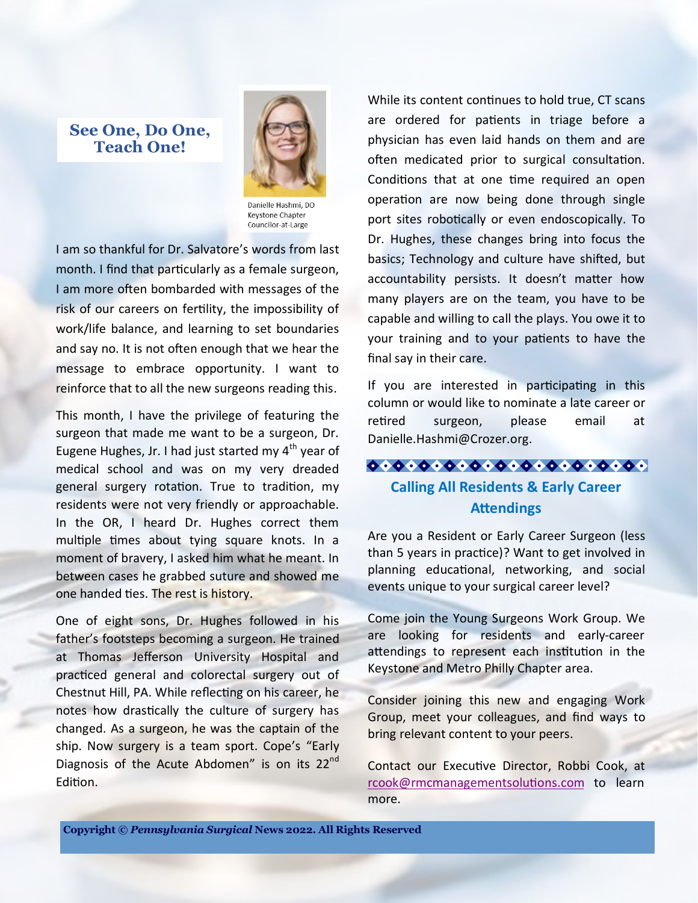### **See One, Do One, Teach One!**



Danielle Hashmi, DO Keystone Chapter Councilor-at-Large

I am so thankful for Dr. Salvatore's words from last month. I find that particularly as a female surgeon, I am more often bombarded with messages of the risk of our careers on fertility, the impossibility of work/life balance, and learning to set boundaries and say no. It is not often enough that we hear the message to embrace opportunity. I want to reinforce that to all the new surgeons reading this.

This month, I have the privilege of featuring the surgeon that made me want to be a surgeon, Dr. Eugene Hughes, Jr. I had just started my  $4<sup>th</sup>$  year of medical school and was on my very dreaded general surgery rotation. True to tradition, my residents were not very friendly or approachable. In the OR, I heard Dr. Hughes correct them multiple times about tying square knots. In a moment of bravery, I asked him what he meant. In between cases he grabbed suture and showed me one handed ties. The rest is history.

One of eight sons, Dr. Hughes followed in his father's footsteps becoming a surgeon. He trained at Thomas Jefferson University Hospital and practiced general and colorectal surgery out of Chestnut Hill, PA. While reflecting on his career, he notes how drastically the culture of surgery has changed. As a surgeon, he was the captain of the ship. Now surgery is a team sport. Cope's "Early Diagnosis of the Acute Abdomen" is on its 22<sup>nd</sup> Edition.

While its content continues to hold true, CT scans are ordered for patients in triage before a physician has even laid hands on them and are often medicated prior to surgical consultation. Conditions that at one time required an open operation are now being done through single port sites robotically or even endoscopically. To Dr. Hughes, these changes bring into focus the basics; Technology and culture have shifted, but accountability persists. It doesn't matter how many players are on the team, you have to be capable and willing to call the plays. You owe it to your training and to your patients to have the final say in their care.

If you are interested in participating in this column or would like to nominate a late career or retired surgeon, please email at Danielle.Hashmi@Crozer.org.

#### $00000000000000000000000$

## **Calling All Residents & Early Career Attendings**

Are you a Resident or Early Career Surgeon (less than 5 years in practice)? Want to get involved in planning educational, networking, and social events unique to your surgical career level?

Come join the Young Surgeons Work Group. We are looking for residents and early-career attendings to represent each institution in the Keystone and Metro Philly Chapter area.

Consider joining this new and engaging Work Group, meet your colleagues, and find ways to bring relevant content to your peers.

Contact our Executive Director, Robbi Cook, at [rcook@rmcmanagementsolutions.com](mailto:rcook@rmcmanagementsolutions.com) to learn more.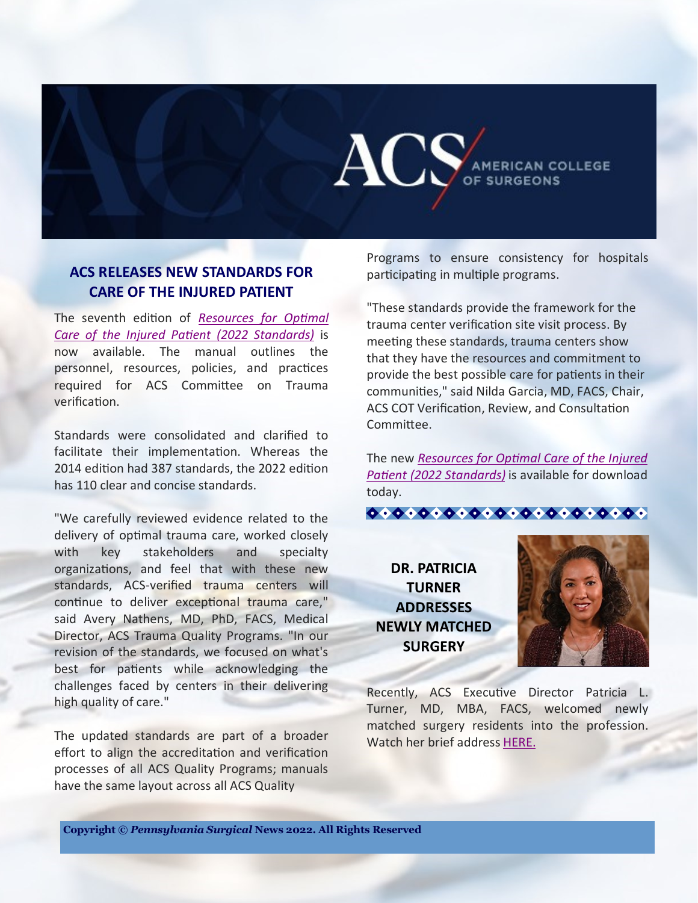

#### **ACS RELEASES NEW STANDARDS FOR CARE OF THE INJURED PATIENT**

The seventh edition of *[Resources for Optimal](https://www.facs.org/quality-programs/trauma/tqp/center-programs/vrc/standards)  [Care of the Injured Patient \(2022 Standards\)](https://www.facs.org/quality-programs/trauma/tqp/center-programs/vrc/standards)* is now available. The manual outlines the personnel, resources, policies, and practices required for ACS Committee on Trauma verification.

Standards were consolidated and clarified to facilitate their implementation. Whereas the 2014 edition had 387 standards, the 2022 edition has 110 clear and concise standards.

"We carefully reviewed evidence related to the delivery of optimal trauma care, worked closely with key stakeholders and specialty organizations, and feel that with these new standards, ACS-verified trauma centers will continue to deliver exceptional trauma care," said Avery Nathens, MD, PhD, FACS, Medical Director, ACS Trauma Quality Programs. "In our revision of the standards, we focused on what's best for patients while acknowledging the challenges faced by centers in their delivering high quality of care."

The updated standards are part of a broader effort to align the accreditation and verification processes of all ACS Quality Programs; manuals have the same layout across all ACS Quality

Programs to ensure consistency for hospitals participating in multiple programs.

"These standards provide the framework for the trauma center verification site visit process. By meeting these standards, trauma centers show that they have the resources and commitment to provide the best possible care for patients in their communities," said Nilda Garcia, MD, FACS, Chair, ACS COT Verification, Review, and Consultation Committee.

The new *[Resources for Optimal Care of the Injured](https://www.facs.org/quality-programs/trauma/tqp/center-programs/vrc/standards)  [Patient \(2022 Standards\)](https://www.facs.org/quality-programs/trauma/tqp/center-programs/vrc/standards)* is available for download today.



**DR. PATRICIA TURNER ADDRESSES NEWLY MATCHED SURGERY**



Recently, ACS Executive Director Patricia L. Turner, MD, MBA, FACS, welcomed newly matched surgery residents into the profession. Watch her brief address [HERE.](https://youtu.be/73Vj4oJrudg)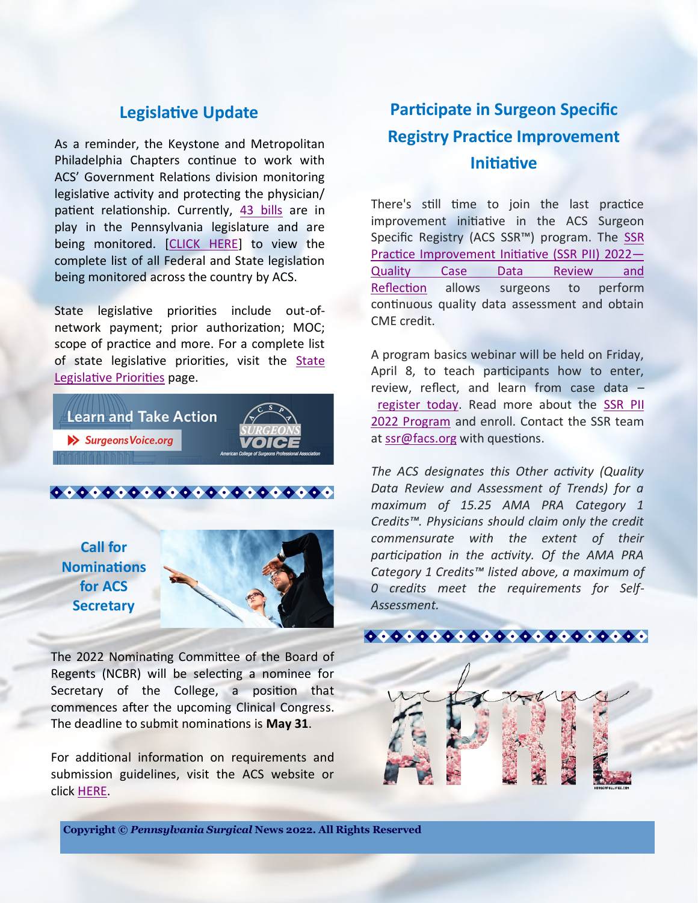## **Legislative Update**

As a reminder, the Keystone and Metropolitan Philadelphia Chapters continue to work with ACS' Government Relations division monitoring legislative activity and protecting the physician/ patient relationship. Currently, [43 bills](https://www.quorum.us/spreadsheet/external/gxFymLFqv9eUT2M4IMXt/) are in play in the Pennsylvania legislature and are being monitored. [\[CLICK HERE\]](https://www.quorum.us/spreadsheet/external/gxFymLFqv9eUT2M4IMXt/) to view the complete list of all Federal and State legislation being monitored across the country by ACS.

State legislative priorities include out-ofnetwork payment; prior authorization; MOC; scope of practice and more. For a complete list of state legislative priorities, visit the [State](https://www.facs.org/advocacy/state/trends)  [Legislative Priorities](https://www.facs.org/advocacy/state/trends) page.

**Learn and Take Action**  $\blacktriangleright$  Surgeons Voice.org



 $00000000000000000000000$ 

**Call for Nominations for ACS Secretary**



The 2022 Nominating Committee of the Board of Regents (NCBR) will be selecting a nominee for Secretary of the College, a position that commences after the upcoming Clinical Congress. The deadline to submit nominations is **May 31**.

For additional information on requirements and submission guidelines, visit the ACS website or click [HERE.](https://www.facs.org/publications/bulletin-brief/022222/announcements#secretary)

## **Participate in Surgeon Specific Registry Practice Improvement Initiative**

There's still time to join the last practice improvement initiative in the ACS Surgeon Specific Registry (ACS SSR™) program. The [SSR](https://www.facs.org/quality-programs/ssr/practice-improvement-initiative)  [Practice Improvement Initiative \(SSR PII\)](https://www.facs.org/quality-programs/ssr/practice-improvement-initiative) 2022— [Quality Case Data Review and](https://www.facs.org/quality-programs/ssr/practice-improvement-initiative)  [Reflection](https://www.facs.org/quality-programs/ssr/practice-improvement-initiative) allows surgeons to perform continuous quality data assessment and obtain CME credit.

A program basics webinar will be held on Friday, April 8, to teach participants how to enter, review, reflect, and learn from case data – [register today.](https://register.gotowebinar.com/rt/5810973250743909136) Read more about the [SSR PII](https://www.facs.org/quality-programs/ssr/practice-improvement-initiative)  2022 Program and enroll. Contact the SSR team at [ssr@facs.org](mailto:ssr@facs.org) with questions.

*The ACS designates this Other activity (Quality Data Review and Assessment of Trends) for a maximum of 15.25 AMA PRA Category 1 Credits™. Physicians should claim only the credit commensurate with the extent of their participation in the activity. Of the AMA PRA Category 1 Credits™ listed above, a maximum of 0 credits meet the requirements for Self-Assessment.*



**Copyright ©** *Pennsylvania Surgical* **News 2022. All Rights Reserved**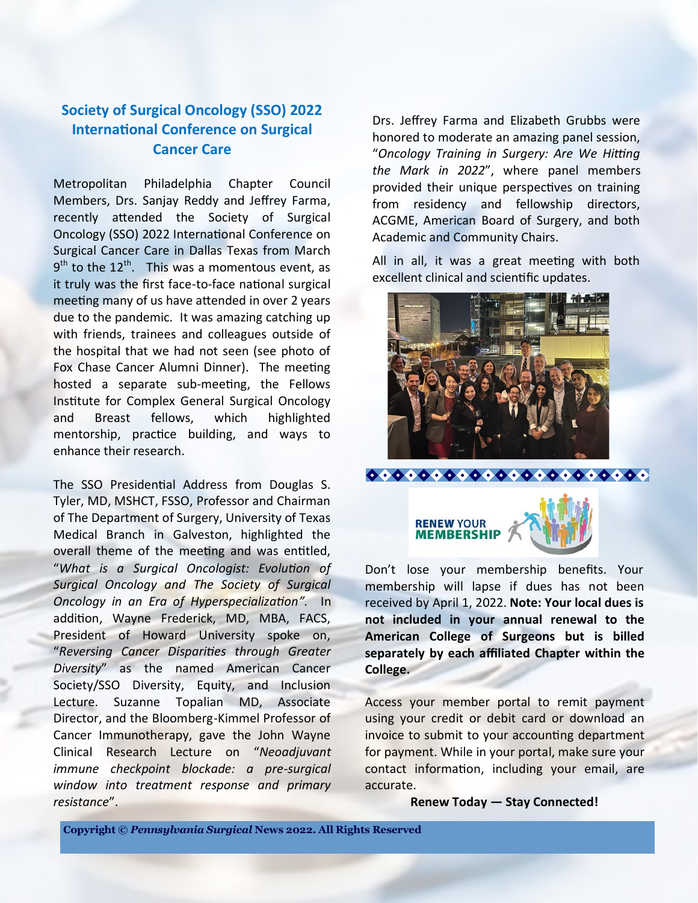## **Society of Surgical Oncology (SSO) 2022 International Conference on Surgical Cancer Care**

Metropolitan Philadelphia Chapter Council Members, Drs. Sanjay Reddy and Jeffrey Farma, recently attended the Society of Surgical Oncology (SSO) 2022 International Conference on Surgical Cancer Care in Dallas Texas from March  $9<sup>th</sup>$  to the 12<sup>th</sup>. This was a momentous event, as it truly was the first face-to-face national surgical meeting many of us have attended in over 2 years due to the pandemic. It was amazing catching up with friends, trainees and colleagues outside of the hospital that we had not seen (see photo of Fox Chase Cancer Alumni Dinner). The meeting hosted a separate sub-meeting, the Fellows Institute for Complex General Surgical Oncology and Breast fellows, which highlighted mentorship, practice building, and ways to enhance their research.

The SSO Presidential Address from Douglas S. Tyler, MD, MSHCT, FSSO, Professor and Chairman of The Department of Surgery, University of Texas Medical Branch in Galveston, highlighted the overall theme of the meeting and was entitled, "*What is a Surgical Oncologist: Evolution of Surgical Oncology and The Society of Surgical Oncology in an Era of Hyperspecialization".* In addition, Wayne Frederick, MD, MBA, FACS, President of Howard University spoke on, "*Reversing Cancer Disparities through Greater Diversity*" as the named American Cancer Society/SSO Diversity, Equity, and Inclusion Lecture. Suzanne Topalian MD, Associate Director, and the Bloomberg-Kimmel Professor of Cancer Immunotherapy, gave the John Wayne Clinical Research Lecture on "*Neoadjuvant immune checkpoint blockade: a pre-surgical window into treatment response and primary resistance*".

Drs. Jeffrey Farma and Elizabeth Grubbs were honored to moderate an amazing panel session, "*Oncology Training in Surgery: Are We Hitting the Mark in 2022*", where panel members provided their unique perspectives on training from residency and fellowship directors, ACGME, American Board of Surgery, and both Academic and Community Chairs.

All in all, it was a great meeting with both excellent clinical and scientific updates.





Don't lose your membership benefits. Your membership will lapse if dues has not been received by April 1, 2022. **Note: Your local dues is not included in your annual renewal to the American College of Surgeons but is billed separately by each affiliated Chapter within the College.**

Access your member portal to remit payment using your credit or debit card or download an invoice to submit to your accounting department for payment. While in your portal, make sure your contact information, including your email, are accurate.

**Renew Today — Stay Connected!**